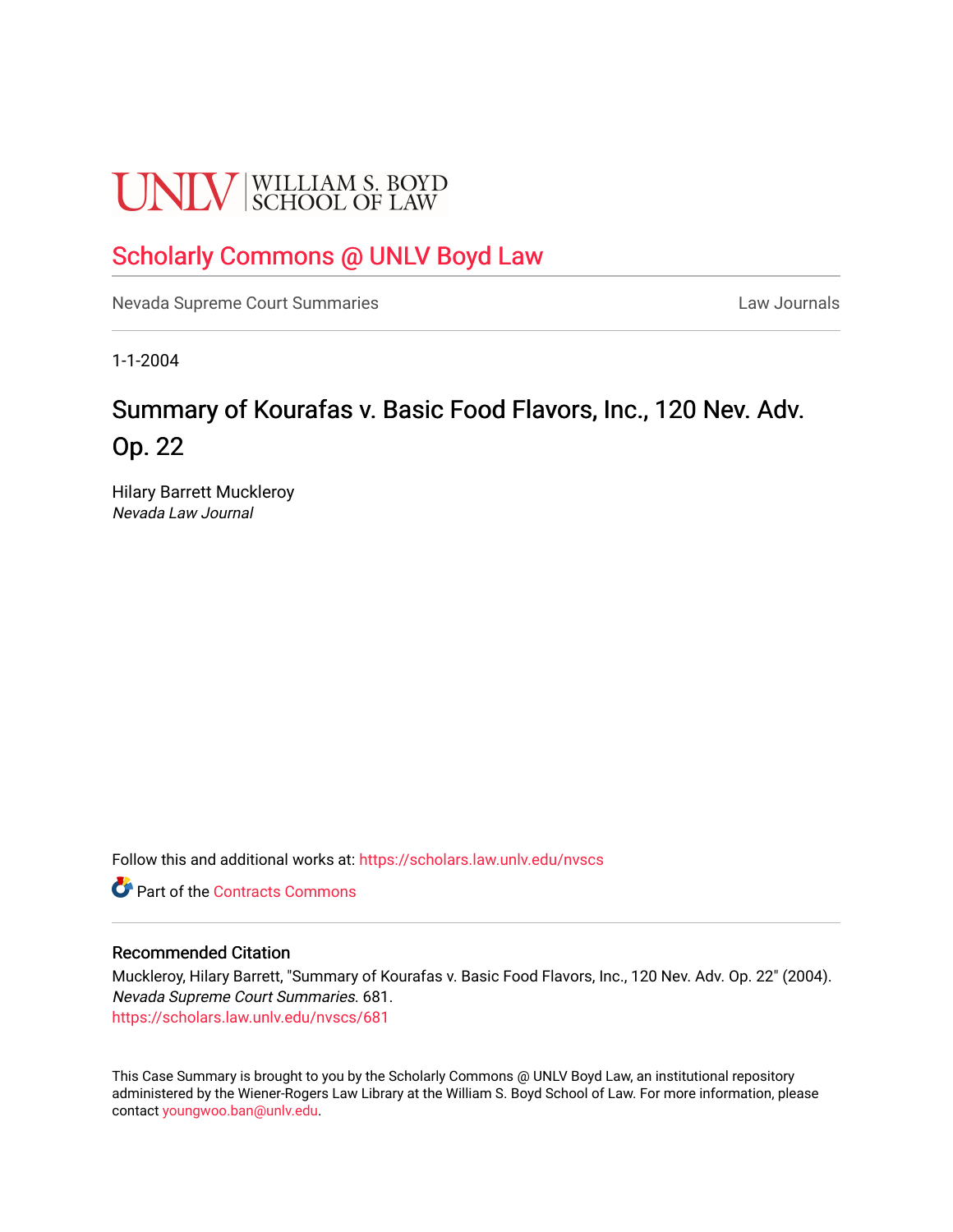# **UNLV** SCHOOL OF LAW

## [Scholarly Commons @ UNLV Boyd Law](https://scholars.law.unlv.edu/)

[Nevada Supreme Court Summaries](https://scholars.law.unlv.edu/nvscs) **Law Journals** Law Journals

1-1-2004

# Summary of Kourafas v. Basic Food Flavors, Inc., 120 Nev. Adv. Op. 22

Hilary Barrett Muckleroy Nevada Law Journal

Follow this and additional works at: [https://scholars.law.unlv.edu/nvscs](https://scholars.law.unlv.edu/nvscs?utm_source=scholars.law.unlv.edu%2Fnvscs%2F681&utm_medium=PDF&utm_campaign=PDFCoverPages)

**C** Part of the [Contracts Commons](http://network.bepress.com/hgg/discipline/591?utm_source=scholars.law.unlv.edu%2Fnvscs%2F681&utm_medium=PDF&utm_campaign=PDFCoverPages)

#### Recommended Citation

Muckleroy, Hilary Barrett, "Summary of Kourafas v. Basic Food Flavors, Inc., 120 Nev. Adv. Op. 22" (2004). Nevada Supreme Court Summaries. 681.

[https://scholars.law.unlv.edu/nvscs/681](https://scholars.law.unlv.edu/nvscs/681?utm_source=scholars.law.unlv.edu%2Fnvscs%2F681&utm_medium=PDF&utm_campaign=PDFCoverPages)

This Case Summary is brought to you by the Scholarly Commons @ UNLV Boyd Law, an institutional repository administered by the Wiener-Rogers Law Library at the William S. Boyd School of Law. For more information, please contact [youngwoo.ban@unlv.edu](mailto:youngwoo.ban@unlv.edu).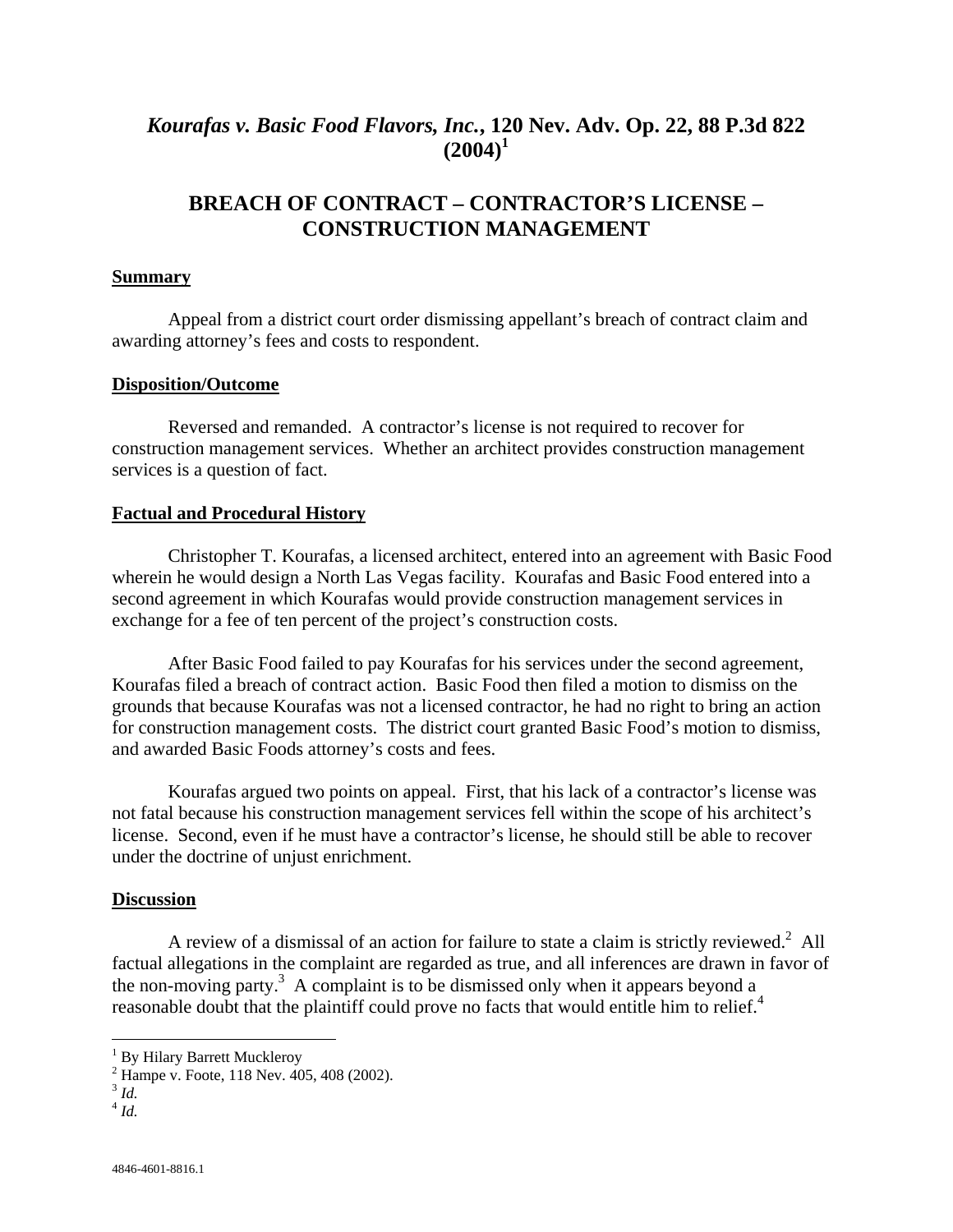## *Kourafas v. Basic Food Flavors, Inc.***, 120 Nev. Adv. Op. 22, 88 P.3d 822**   $(2004)^1$

### **BREACH OF CONTRACT – CONTRACTOR'S LICENSE – CONSTRUCTION MANAGEMENT**

#### **Summary**

 Appeal from a district court order dismissing appellant's breach of contract claim and awarding attorney's fees and costs to respondent.

#### **Disposition/Outcome**

 Reversed and remanded. A contractor's license is not required to recover for construction management services. Whether an architect provides construction management services is a question of fact.

#### **Factual and Procedural History**

 Christopher T. Kourafas, a licensed architect, entered into an agreement with Basic Food wherein he would design a North Las Vegas facility. Kourafas and Basic Food entered into a second agreement in which Kourafas would provide construction management services in exchange for a fee of ten percent of the project's construction costs.

After Basic Food failed to pay Kourafas for his services under the second agreement, Kourafas filed a breach of contract action. Basic Food then filed a motion to dismiss on the grounds that because Kourafas was not a licensed contractor, he had no right to bring an action for construction management costs. The district court granted Basic Food's motion to dismiss, and awarded Basic Foods attorney's costs and fees.

Kourafas argued two points on appeal. First, that his lack of a contractor's license was not fatal because his construction management services fell within the scope of his architect's license. Second, even if he must have a contractor's license, he should still be able to recover under the doctrine of unjust enrichment.

#### **Discussion**

A review of a dismissal of an action for failure to state a claim is strictly reviewed.<sup>2</sup> All factual allegations in the complaint are regarded as true, and all inferences are drawn in favor of the non-moving party.<sup>3</sup> A complaint is to be dismissed only when it appears beyond a reasonable doubt that the plaintiff could prove no facts that would entitle him to relief.<sup>4</sup>

 $\overline{a}$ 

<sup>&</sup>lt;sup>1</sup> By Hilary Barrett Muckleroy

<sup>&</sup>lt;sup>2</sup> Hampe v. Foote, 118 Nev. 405, 408 (2002).

<sup>3</sup> *Id.*

 $4\overline{1}$